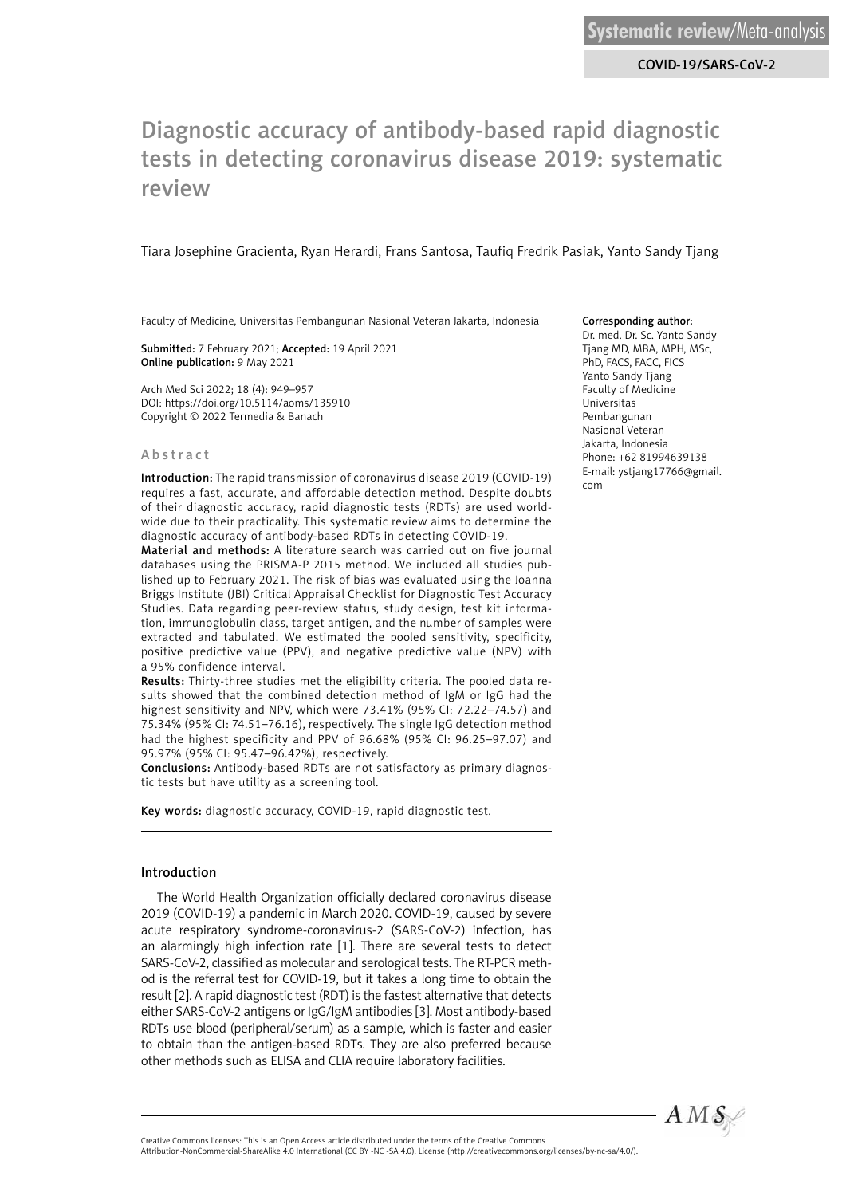COVID-19/SARS-CoV-2

# Diagnostic accuracy of antibody-based rapid diagnostic tests in detecting coronavirus disease 2019: systematic review

Tiara Josephine Gracienta, Ryan Herardi, Frans Santosa, Taufiq Fredrik Pasiak, Yanto Sandy Tjang

Faculty of Medicine, Universitas Pembangunan Nasional Veteran Jakarta, Indonesia

Submitted: 7 February 2021; Accepted: 19 April 2021 Online publication: 9 May 2021

Arch Med Sci 2022; 18 (4): 949–957 DOI: https://doi.org/10.5114/aoms/135910 Copyright © 2022 Termedia & Banach

#### Abstract

Introduction: The rapid transmission of coronavirus disease 2019 (COVID-19) requires a fast, accurate, and affordable detection method. Despite doubts of their diagnostic accuracy, rapid diagnostic tests (RDTs) are used worldwide due to their practicality. This systematic review aims to determine the diagnostic accuracy of antibody-based RDTs in detecting COVID-19.

Material and methods: A literature search was carried out on five journal databases using the PRISMA-P 2015 method. We included all studies published up to February 2021. The risk of bias was evaluated using the Joanna Briggs Institute (JBI) Critical Appraisal Checklist for Diagnostic Test Accuracy Studies. Data regarding peer-review status, study design, test kit information, immunoglobulin class, target antigen, and the number of samples were extracted and tabulated. We estimated the pooled sensitivity, specificity, positive predictive value (PPV), and negative predictive value (NPV) with a 95% confidence interval.

Results: Thirty-three studies met the eligibility criteria. The pooled data results showed that the combined detection method of IgM or IgG had the highest sensitivity and NPV, which were 73.41% (95% CI: 72.22–74.57) and 75.34% (95% CI: 74.51–76.16), respectively. The single IgG detection method had the highest specificity and PPV of 96.68% (95% CI: 96.25–97.07) and 95.97% (95% CI: 95.47–96.42%), respectively.

Conclusions: Antibody-based RDTs are not satisfactory as primary diagnostic tests but have utility as a screening tool.

Key words: diagnostic accuracy, COVID-19, rapid diagnostic test.

#### Introduction

The World Health Organization officially declared coronavirus disease 2019 (COVID-19) a pandemic in March 2020. COVID-19, caused by severe acute respiratory syndrome-coronavirus-2 (SARS-CoV-2) infection, has an alarmingly high infection rate [1]. There are several tests to detect SARS-CoV-2, classified as molecular and serological tests. The RT-PCR method is the referral test for COVID-19, but it takes a long time to obtain the result [2]. A rapid diagnostic test (RDT) is the fastest alternative that detects either SARS-CoV-2 antigens or IgG/IgM antibodies [3]. Most antibody-based RDTs use blood (peripheral/serum) as a sample, which is faster and easier to obtain than the antigen-based RDTs. They are also preferred because other methods such as ELISA and CLIA require laboratory facilities.

#### Corresponding author:

Dr. med. Dr. Sc. Yanto Sandy Tjang MD, MBA, MPH, MSc, PhD, FACS, FACC, FICS Yanto Sandy Tjang Faculty of Medicine Universitas Pembangunan Nasional Veteran Jakarta, Indonesia Phone: +62 81994639138 E-mail: ystjang17766@gmail. com



Attribution-NonCommercial-ShareAlike 4.0 International (CC BY -NC -SA 4.0). License (http://creativecommons.org/licenses/by-nc-sa/4.0/).

Creative Commons licenses: This is an Open Access article distributed under the terms of the Creative Commons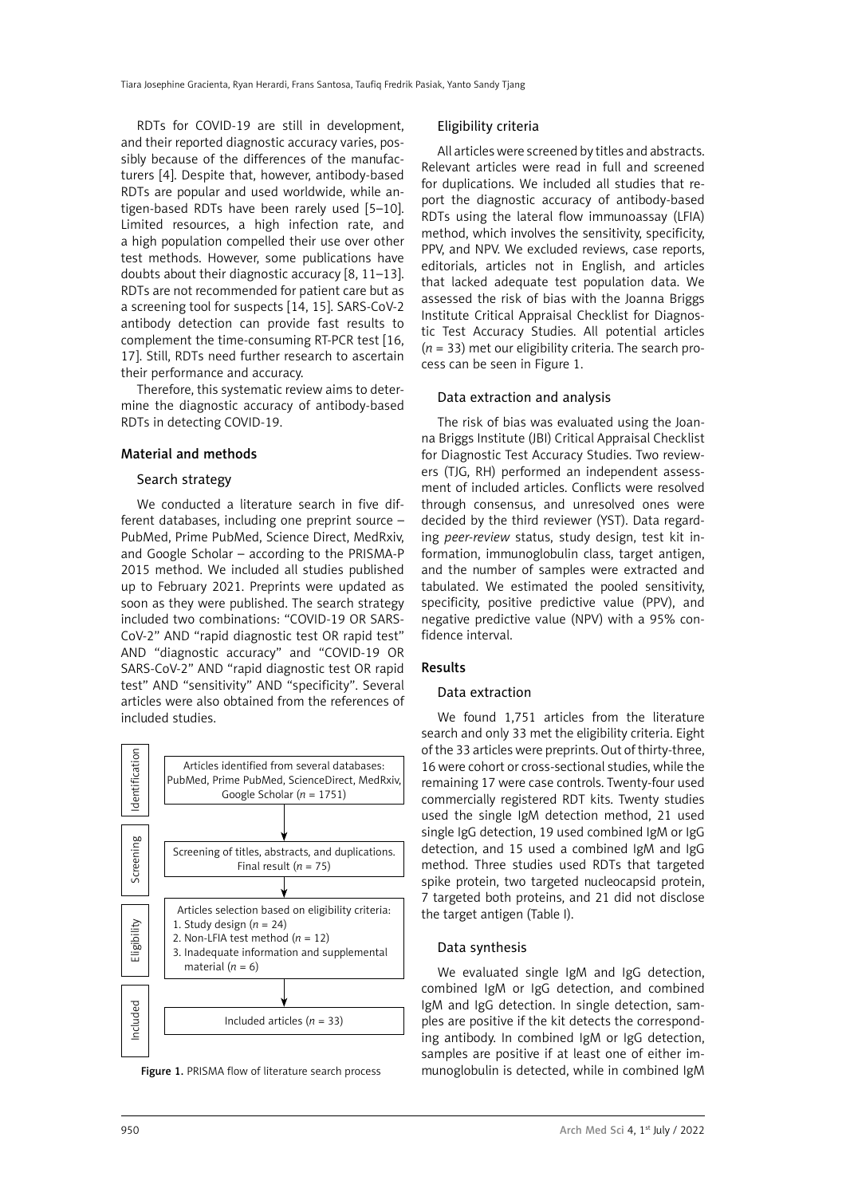RDTs for COVID-19 are still in development, and their reported diagnostic accuracy varies, possibly because of the differences of the manufacturers [4]. Despite that, however, antibody-based RDTs are popular and used worldwide, while antigen-based RDTs have been rarely used [5–10]. Limited resources, a high infection rate, and a high population compelled their use over other test methods. However, some publications have doubts about their diagnostic accuracy [8, 11–13]. RDTs are not recommended for patient care but as a screening tool for suspects [14, 15]. SARS-CoV-2 antibody detection can provide fast results to complement the time-consuming RT-PCR test [16, 17]. Still, RDTs need further research to ascertain their performance and accuracy.

Therefore, this systematic review aims to determine the diagnostic accuracy of antibody-based RDTs in detecting COVID-19.

#### Material and methods

#### Search strategy

We conducted a literature search in five different databases, including one preprint source – PubMed, Prime PubMed, Science Direct, MedRxiv, and Google Scholar – according to the PRISMA-P 2015 method. We included all studies published up to February 2021. Preprints were updated as soon as they were published. The search strategy included two combinations: "COVID-19 OR SARS-CoV-2" AND "rapid diagnostic test OR rapid test" AND "diagnostic accuracy" and "COVID-19 OR SARS-CoV-2" AND "rapid diagnostic test OR rapid test" AND "sensitivity" AND "specificity". Several articles were also obtained from the references of included studies.



#### Eligibility criteria

All articles were screened by titles and abstracts. Relevant articles were read in full and screened for duplications. We included all studies that report the diagnostic accuracy of antibody-based RDTs using the lateral flow immunoassay (LFIA) method, which involves the sensitivity, specificity, PPV, and NPV. We excluded reviews, case reports, editorials, articles not in English, and articles that lacked adequate test population data. We assessed the risk of bias with the Joanna Briggs Institute Critical Appraisal Checklist for Diagnostic Test Accuracy Studies. All potential articles (*n* = 33) met our eligibility criteria. The search process can be seen in Figure 1.

#### Data extraction and analysis

The risk of bias was evaluated using the Joanna Briggs Institute (JBI) Critical Appraisal Checklist for Diagnostic Test Accuracy Studies. Two reviewers (TJG, RH) performed an independent assessment of included articles. Conflicts were resolved through consensus, and unresolved ones were decided by the third reviewer (YST). Data regarding *peer-review*  status, study design, test kit information, immunoglobulin class, target antigen, and the number of samples were extracted and tabulated. We estimated the pooled sensitivity, specificity, positive predictive value (PPV), and negative predictive value (NPV) with a 95% confidence interval.

#### Results

#### Data extraction

We found 1,751 articles from the literature search and only 33 met the eligibility criteria. Eight of the 33 articles were preprints. Out of thirty-three, 16 were cohort or cross-sectional studies, while the remaining 17 were case controls. Twenty-four used commercially registered RDT kits. Twenty studies used the single IgM detection method, 21 used single IgG detection, 19 used combined IgM or IgG detection, and 15 used a combined IgM and IgG method. Three studies used RDTs that targeted spike protein, two targeted nucleocapsid protein, 7 targeted both proteins, and 21 did not disclose the target antigen (Table I).

#### Data synthesis

We evaluated single IgM and IgG detection, combined IgM or IgG detection, and combined IgM and IgG detection. In single detection, samples are positive if the kit detects the corresponding antibody. In combined IgM or IgG detection, samples are positive if at least one of either im-Figure 1. PRISMA flow of literature search process munoglobulin is detected, while in combined IgM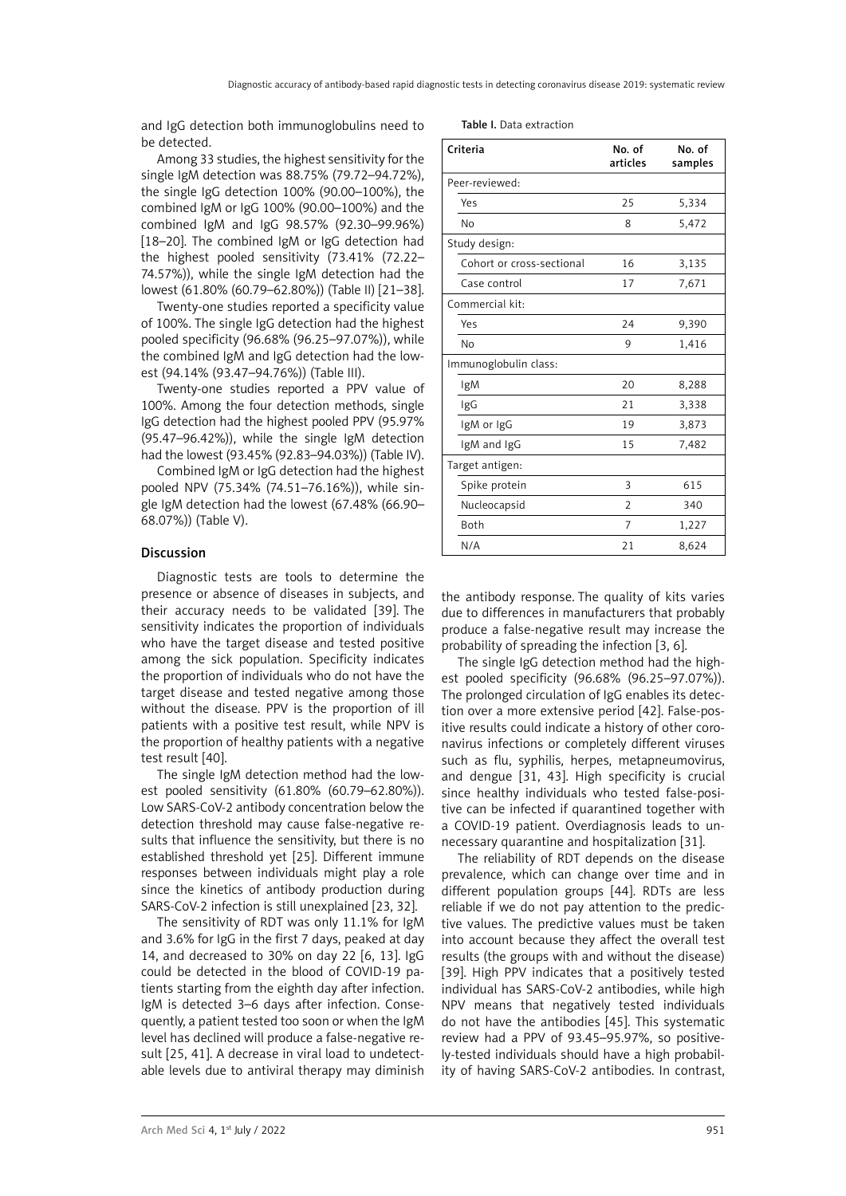and IgG detection both immunoglobulins need to be detected.

Among 33 studies, the highest sensitivity for the single IgM detection was 88.75% (79.72–94.72%), the single IgG detection 100% (90.00–100%), the combined IgM or IgG 100% (90.00–100%) and the combined IgM and IgG 98.57% (92.30–99.96%) [18–20]. The combined IgM or IgG detection had the highest pooled sensitivity (73.41% (72.22– 74.57%)), while the single IgM detection had the lowest (61.80% (60.79–62.80%)) (Table II) [21–38].

Twenty-one studies reported a specificity value of 100%. The single IgG detection had the highest pooled specificity (96.68% (96.25–97.07%)), while the combined IgM and IgG detection had the lowest (94.14% (93.47–94.76%)) (Table III).

Twenty-one studies reported a PPV value of 100%. Among the four detection methods, single IgG detection had the highest pooled PPV (95.97% (95.47–96.42%)), while the single IgM detection had the lowest (93.45% (92.83–94.03%)) (Table IV).

Combined IgM or IgG detection had the highest pooled NPV (75.34% (74.51–76.16%)), while single IgM detection had the lowest (67.48% (66.90– 68.07%)) (Table V).

### Discussion

Diagnostic tests are tools to determine the presence or absence of diseases in subjects, and their accuracy needs to be validated [39]. The sensitivity indicates the proportion of individuals who have the target disease and tested positive among the sick population. Specificity indicates the proportion of individuals who do not have the target disease and tested negative among those without the disease. PPV is the proportion of ill patients with a positive test result, while NPV is the proportion of healthy patients with a negative test result [40].

The single IgM detection method had the lowest pooled sensitivity (61.80% (60.79–62.80%)). Low SARS-CoV-2 antibody concentration below the detection threshold may cause false-negative results that influence the sensitivity, but there is no established threshold yet [25]. Different immune responses between individuals might play a role since the kinetics of antibody production during SARS-CoV-2 infection is still unexplained [23, 32].

The sensitivity of RDT was only 11.1% for IgM and 3.6% for IgG in the first 7 days, peaked at day 14, and decreased to 30% on day 22 [6, 13]. IgG could be detected in the blood of COVID-19 patients starting from the eighth day after infection. IgM is detected 3–6 days after infection. Consequently, a patient tested too soon or when the IgM level has declined will produce a false-negative result [25, 41]. A decrease in viral load to undetectable levels due to antiviral therapy may diminish

| <b>Table I.</b> Data extraction |  |
|---------------------------------|--|
|                                 |  |

| Criteria                  | No. of<br>articles | No. of<br>samples |
|---------------------------|--------------------|-------------------|
| Peer-reviewed:            |                    |                   |
| Yes                       | 25                 | 5,334             |
| No                        | 8                  | 5,472             |
| Study design:             |                    |                   |
| Cohort or cross-sectional | 16                 | 3,135             |
| Case control              | 17                 | 7,671             |
| Commercial kit:           |                    |                   |
| Yes                       | 24                 | 9,390             |
| No                        | 9                  | 1,416             |
| Immunoglobulin class:     |                    |                   |
| IgM                       | 20                 | 8,288             |
| IgG                       | 21                 | 3,338             |
| IgM or IgG                | 19                 | 3,873             |
| IgM and IgG               | 15                 | 7,482             |
| Target antigen:           |                    |                   |
| Spike protein             | 3                  | 615               |
| Nucleocapsid              | $\mathfrak{D}$     | 340               |
| Both                      | 7                  | 1,227             |
| N/A                       | 21                 | 8,624             |

the antibody response. The quality of kits varies due to differences in manufacturers that probably produce a false-negative result may increase the probability of spreading the infection [3, 6].

The single IgG detection method had the highest pooled specificity (96.68% (96.25–97.07%)). The prolonged circulation of IgG enables its detection over a more extensive period [42]. False-positive results could indicate a history of other coronavirus infections or completely different viruses such as flu, syphilis, herpes, metapneumovirus, and dengue [31, 43]. High specificity is crucial since healthy individuals who tested false-positive can be infected if quarantined together with a COVID-19 patient. Overdiagnosis leads to unnecessary quarantine and hospitalization [31].

The reliability of RDT depends on the disease prevalence, which can change over time and in different population groups [44]. RDTs are less reliable if we do not pay attention to the predictive values. The predictive values must be taken into account because they affect the overall test results (the groups with and without the disease) [39]. High PPV indicates that a positively tested individual has SARS-CoV-2 antibodies, while high NPV means that negatively tested individuals do not have the antibodies [45]. This systematic review had a PPV of 93.45–95.97%, so positively-tested individuals should have a high probability of having SARS-CoV-2 antibodies. In contrast,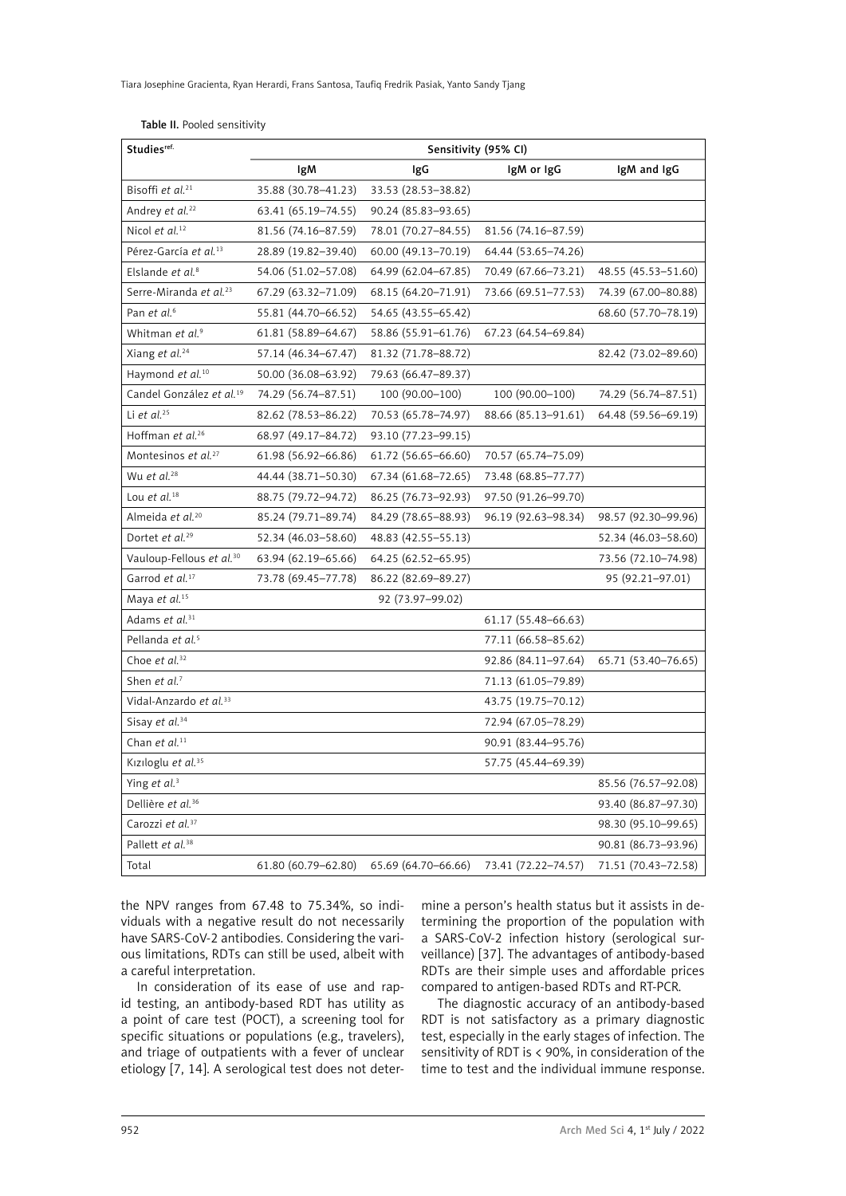| Table II. Pooled sensitivity |  |
|------------------------------|--|
|------------------------------|--|

| Studies <sup>ref.</sup>              | Sensitivity (95% CI) |                       |                     |                     |
|--------------------------------------|----------------------|-----------------------|---------------------|---------------------|
|                                      | lgM                  | IgG                   | IgM or IgG          | IgM and IgG         |
| Bisoffi et al. <sup>21</sup>         | 35.88 (30.78-41.23)  | 33.53 (28.53-38.82)   |                     |                     |
| Andrey et al. <sup>22</sup>          | 63.41 (65.19–74.55)  | 90.24 (85.83-93.65)   |                     |                     |
| Nicol et al. <sup>12</sup>           | 81.56 (74.16-87.59)  | 78.01 (70.27-84.55)   | 81.56 (74.16-87.59) |                     |
| Pérez-García et al. <sup>13</sup>    | 28.89 (19.82-39.40)  | 60.00 (49.13-70.19)   | 64.44 (53.65-74.26) |                     |
| Elslande et al. <sup>8</sup>         | 54.06 (51.02-57.08)  | 64.99 (62.04-67.85)   | 70.49 (67.66-73.21) | 48.55 (45.53-51.60) |
| Serre-Miranda et al. <sup>23</sup>   | 67.29 (63.32-71.09)  | 68.15 (64.20–71.91)   | 73.66 (69.51–77.53) | 74.39 (67.00-80.88) |
| Pan et al. <sup>6</sup>              | 55.81 (44.70-66.52)  | 54.65 (43.55-65.42)   |                     | 68.60 (57.70-78.19) |
| Whitman et al. <sup>9</sup>          | 61.81 (58.89-64.67)  | 58.86 (55.91-61.76)   | 67.23 (64.54-69.84) |                     |
| Xiang et al. <sup>24</sup>           | 57.14 (46.34–67.47)  | 81.32 (71.78-88.72)   |                     | 82.42 (73.02-89.60) |
| Haymond et al. <sup>10</sup>         | 50.00 (36.08-63.92)  | 79.63 (66.47-89.37)   |                     |                     |
| Candel González et al. <sup>19</sup> | 74.29 (56.74-87.51)  | 100 (90.00-100)       | 100 (90.00-100)     | 74.29 (56.74-87.51) |
| Li et al. <sup>25</sup>              | 82.62 (78.53-86.22)  | 70.53 (65.78-74.97)   | 88.66 (85.13-91.61) | 64.48 (59.56-69.19) |
| Hoffman et al. <sup>26</sup>         | 68.97 (49.17-84.72)  | 93.10 (77.23–99.15)   |                     |                     |
| Montesinos et al. <sup>27</sup>      | 61.98 (56.92-66.86)  | 61.72 (56.65-66.60)   | 70.57 (65.74-75.09) |                     |
| Wu et al. <sup>28</sup>              | 44.44 (38.71-50.30)  | 67.34 (61.68-72.65)   | 73.48 (68.85-77.77) |                     |
| Lou et al. <sup>18</sup>             | 88.75 (79.72-94.72)  | 86.25 (76.73–92.93)   | 97.50 (91.26-99.70) |                     |
| Almeida et al. <sup>20</sup>         | 85.24 (79.71-89.74)  | 84.29 (78.65-88.93)   | 96.19 (92.63-98.34) | 98.57 (92.30-99.96) |
| Dortet et al. <sup>29</sup>          | 52.34 (46.03-58.60)  | 48.83 (42.55 - 55.13) |                     | 52.34 (46.03-58.60) |
| Vauloup-Fellous et al. <sup>30</sup> | 63.94 (62.19-65.66)  | 64.25 (62.52-65.95)   |                     | 73.56 (72.10-74.98) |
| Garrod et al. <sup>17</sup>          | 73.78 (69.45-77.78)  | 86.22 (82.69-89.27)   |                     | 95 (92.21-97.01)    |
| Maya et al. <sup>15</sup>            |                      | 92 (73.97-99.02)      |                     |                     |
| Adams et al. <sup>31</sup>           |                      |                       | 61.17 (55.48-66.63) |                     |
| Pellanda et al. <sup>5</sup>         |                      |                       | 77.11 (66.58–85.62) |                     |
| Choe et al. <sup>32</sup>            |                      |                       | 92.86 (84.11-97.64) | 65.71 (53.40–76.65) |
| Shen et al. <sup>7</sup>             |                      |                       | 71.13 (61.05-79.89) |                     |
| Vidal-Anzardo et al. <sup>33</sup>   |                      |                       | 43.75 (19.75-70.12) |                     |
| Sisay et al. <sup>34</sup>           |                      |                       | 72.94 (67.05-78.29) |                     |
| Chan et al. <sup>11</sup>            |                      |                       | 90.91 (83.44-95.76) |                     |
| Kiziloglu et al. <sup>35</sup>       |                      |                       | 57.75 (45.44–69.39) |                     |
| Ying et al. <sup>3</sup>             |                      |                       |                     | 85.56 (76.57-92.08) |
| Dellière et al. <sup>36</sup>        |                      |                       |                     | 93.40 (86.87-97.30) |
| Carozzi et al. <sup>37</sup>         |                      |                       |                     | 98.30 (95.10-99.65) |
| Pallett et al. <sup>38</sup>         |                      |                       |                     | 90.81 (86.73-93.96) |
| Total                                | 61.80 (60.79-62.80)  | 65.69 (64.70–66.66)   | 73.41 (72.22–74.57) | 71.51 (70.43-72.58) |

the NPV ranges from 67.48 to 75.34%, so individuals with a negative result do not necessarily have SARS-CoV-2 antibodies. Considering the various limitations, RDTs can still be used, albeit with a careful interpretation.

In consideration of its ease of use and rapid testing, an antibody-based RDT has utility as a point of care test (POCT), a screening tool for specific situations or populations (e.g., travelers), and triage of outpatients with a fever of unclear etiology [7, 14]. A serological test does not deter-

mine a person's health status but it assists in determining the proportion of the population with a SARS-CoV-2 infection history (serological surveillance) [37]. The advantages of antibody-based RDTs are their simple uses and affordable prices compared to antigen-based RDTs and RT-PCR.

The diagnostic accuracy of an antibody-based RDT is not satisfactory as a primary diagnostic test, especially in the early stages of infection. The sensitivity of RDT is < 90%, in consideration of the time to test and the individual immune response.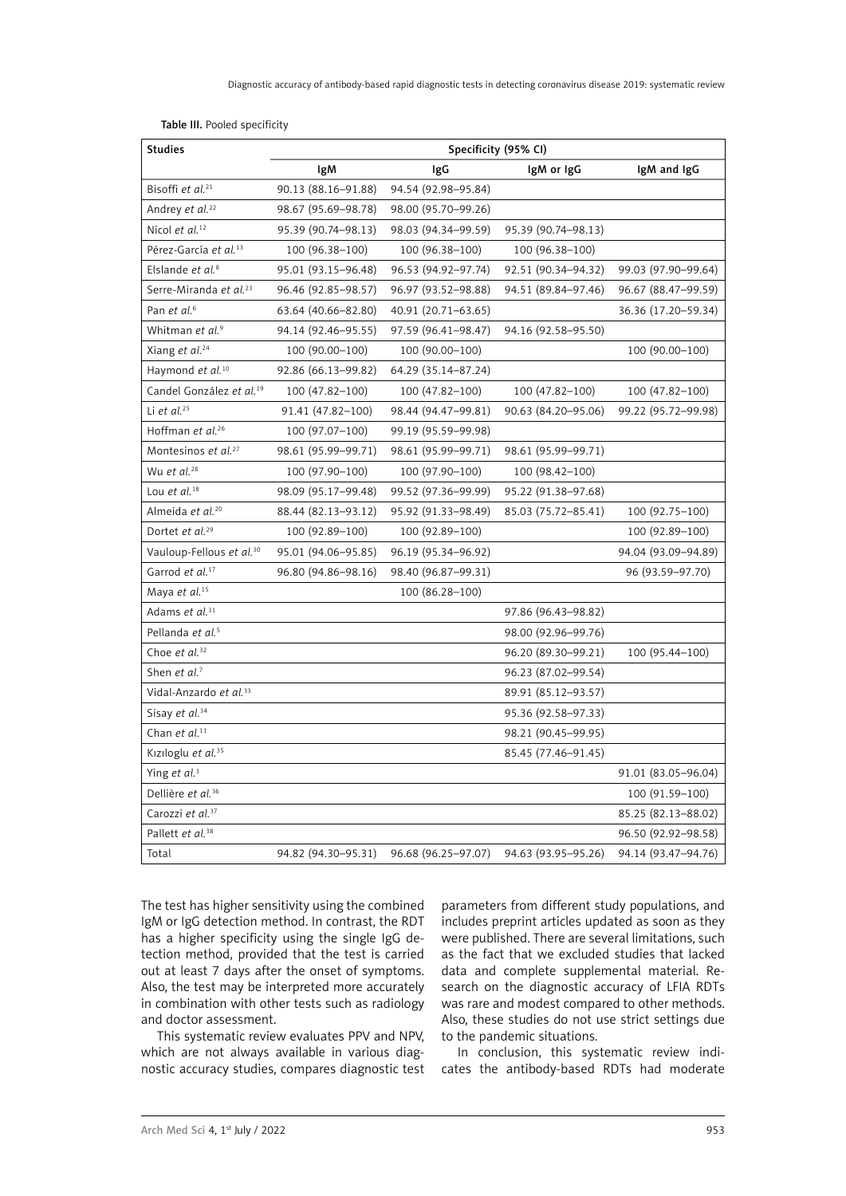| <b>Studies</b>                       | Specificity (95% CI) |                       |                     |                     |
|--------------------------------------|----------------------|-----------------------|---------------------|---------------------|
|                                      | lgM                  | IgG                   | IgM or IgG          | IgM and IgG         |
| Bisoffi et al. <sup>21</sup>         | 90.13 (88.16-91.88)  | 94.54 (92.98-95.84)   |                     |                     |
| Andrey et al. <sup>22</sup>          | 98.67 (95.69-98.78)  | 98.00 (95.70-99.26)   |                     |                     |
| Nicol et al. <sup>12</sup>           | 95.39 (90.74-98.13)  | 98.03 (94.34-99.59)   | 95.39 (90.74-98.13) |                     |
| Pérez-García et al. <sup>13</sup>    | 100 (96.38-100)      | 100 (96.38-100)       | 100 (96.38-100)     |                     |
| Elslande et al. <sup>8</sup>         | 95.01 (93.15-96.48)  | 96.53 (94.92-97.74)   | 92.51 (90.34-94.32) | 99.03 (97.90-99.64) |
| Serre-Miranda et al. <sup>23</sup>   | 96.46 (92.85-98.57)  | 96.97 (93.52-98.88)   | 94.51 (89.84-97.46) | 96.67 (88.47-99.59) |
| Pan et al. <sup>6</sup>              | 63.64 (40.66-82.80)  | 40.91 (20.71-63.65)   |                     | 36.36 (17.20–59.34) |
| Whitman et al. <sup>9</sup>          | 94.14 (92.46-95.55)  | 97.59 (96.41-98.47)   | 94.16 (92.58-95.50) |                     |
| Xiang et al. <sup>24</sup>           | 100 (90.00-100)      | 100 (90.00-100)       |                     | 100 (90.00-100)     |
| Haymond et al. <sup>10</sup>         | 92.86 (66.13-99.82)  | 64.29 (35.14-87.24)   |                     |                     |
| Candel González et al. <sup>19</sup> | 100 (47.82-100)      | 100 (47.82-100)       | 100 (47.82-100)     | 100 (47.82-100)     |
| Li et al. $25$                       | 91.41 (47.82-100)    | 98.44 (94.47-99.81)   | 90.63 (84.20-95.06) | 99.22 (95.72-99.98) |
| Hoffman et al. <sup>26</sup>         | 100 (97.07-100)      | 99.19 (95.59–99.98)   |                     |                     |
| Montesinos et al. <sup>27</sup>      | 98.61 (95.99-99.71)  | 98.61 (95.99-99.71)   | 98.61 (95.99-99.71) |                     |
| Wu et al. <sup>28</sup>              | 100 (97.90-100)      | 100 (97.90-100)       | 100 (98.42-100)     |                     |
| Lou et al. <sup>18</sup>             | 98.09 (95.17-99.48)  | 99.52 (97.36-99.99)   | 95.22 (91.38-97.68) |                     |
| Almeida et al. <sup>20</sup>         | 88.44 (82.13-93.12)  | 95.92 (91.33-98.49)   | 85.03 (75.72-85.41) | 100 (92.75-100)     |
| Dortet et al. <sup>29</sup>          | 100 (92.89-100)      | 100 (92.89-100)       |                     | 100 (92.89-100)     |
| Vauloup-Fellous et al. <sup>30</sup> | 95.01 (94.06-95.85)  | 96.19 (95.34-96.92)   |                     | 94.04 (93.09-94.89) |
| Garrod et al. <sup>17</sup>          | 96.80 (94.86-98.16)  | 98.40 (96.87-99.31)   |                     | 96 (93.59-97.70)    |
| Maya et al. <sup>15</sup>            |                      | 100 (86.28-100)       |                     |                     |
| Adams et al. <sup>31</sup>           |                      |                       | 97.86 (96.43–98.82) |                     |
| Pellanda et al. <sup>5</sup>         |                      |                       | 98.00 (92.96-99.76) |                     |
| Choe et al. <sup>32</sup>            |                      |                       | 96.20 (89.30-99.21) | 100 (95.44-100)     |
| Shen et al. <sup>7</sup>             |                      |                       | 96.23 (87.02-99.54) |                     |
| Vidal-Anzardo et al. <sup>33</sup>   |                      |                       | 89.91 (85.12-93.57) |                     |
| Sisay et al. <sup>34</sup>           |                      |                       | 95.36 (92.58-97.33) |                     |
| Chan et al. <sup>11</sup>            |                      |                       | 98.21 (90.45-99.95) |                     |
| Kiziloglu et al. <sup>35</sup>       |                      |                       | 85.45 (77.46-91.45) |                     |
| Ying et al. <sup>3</sup>             |                      |                       |                     | 91.01 (83.05-96.04) |
| Dellière et al. <sup>36</sup>        |                      |                       |                     | 100 (91.59-100)     |
| Carozzi et al. <sup>37</sup>         |                      |                       |                     | 85.25 (82.13-88.02) |
| Pallett et al. <sup>38</sup>         |                      |                       |                     | 96.50 (92.92-98.58) |
| Total                                | 94.82 (94.30-95.31)  | 96.68 (96.25 - 97.07) | 94.63 (93.95–95.26) | 94.14 (93.47-94.76) |

Table III. Pooled specificity

The test has higher sensitivity using the combined IgM or IgG detection method. In contrast, the RDT has a higher specificity using the single IgG detection method, provided that the test is carried out at least 7 days after the onset of symptoms. Also, the test may be interpreted more accurately in combination with other tests such as radiology and doctor assessment.

This systematic review evaluates PPV and NPV, which are not always available in various diagnostic accuracy studies, compares diagnostic test parameters from different study populations, and includes preprint articles updated as soon as they were published. There are several limitations, such as the fact that we excluded studies that lacked data and complete supplemental material. Research on the diagnostic accuracy of LFIA RDTs was rare and modest compared to other methods. Also, these studies do not use strict settings due to the pandemic situations.

In conclusion, this systematic review indicates the antibody-based RDTs had moderate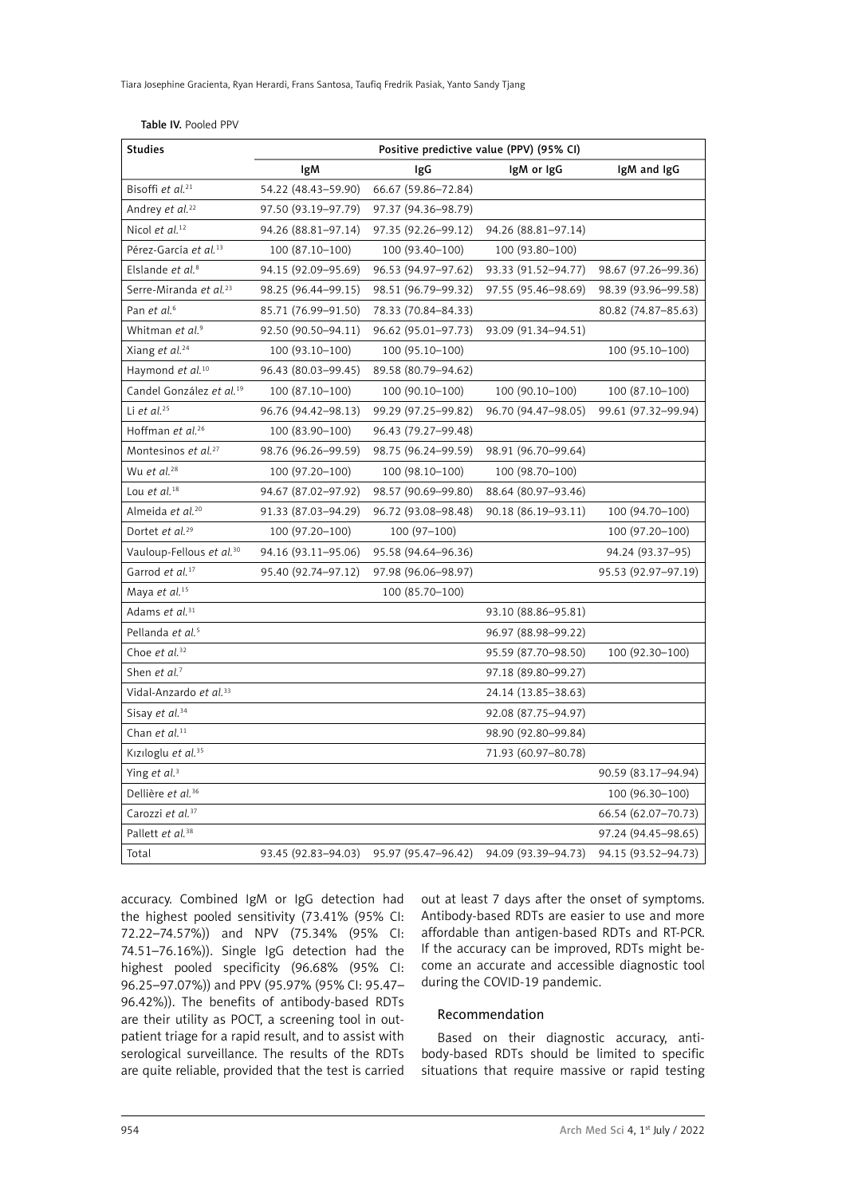|  |  | Table IV. Pooled PPV |  |
|--|--|----------------------|--|
|--|--|----------------------|--|

| <b>Studies</b>                       | Positive predictive value (PPV) (95% CI) |                     |                     |                     |
|--------------------------------------|------------------------------------------|---------------------|---------------------|---------------------|
|                                      | IgM                                      | IgG                 | IgM or IgG          | IgM and IgG         |
| Bisoffi et al. <sup>21</sup>         | 54.22 (48.43-59.90)                      | 66.67 (59.86-72.84) |                     |                     |
| Andrey et al. <sup>22</sup>          | 97.50 (93.19–97.79)                      | 97.37 (94.36-98.79) |                     |                     |
| Nicol et al. <sup>12</sup>           | 94.26 (88.81-97.14)                      | 97.35 (92.26-99.12) | 94.26 (88.81-97.14) |                     |
| Pérez-García et al. <sup>13</sup>    | 100 (87.10-100)                          | 100 (93.40-100)     | 100 (93.80-100)     |                     |
| Elslande et al. <sup>8</sup>         | 94.15 (92.09-95.69)                      | 96.53 (94.97-97.62) | 93.33 (91.52-94.77) | 98.67 (97.26–99.36) |
| Serre-Miranda et al. <sup>23</sup>   | 98.25 (96.44-99.15)                      | 98.51 (96.79-99.32) | 97.55 (95.46-98.69) | 98.39 (93.96-99.58) |
| Pan et al. <sup>6</sup>              | 85.71 (76.99-91.50)                      | 78.33 (70.84-84.33) |                     | 80.82 (74.87-85.63) |
| Whitman et al. <sup>9</sup>          | 92.50 (90.50-94.11)                      | 96.62 (95.01-97.73) | 93.09 (91.34–94.51) |                     |
| Xiang et al. <sup>24</sup>           | 100 (93.10-100)                          | 100 (95.10-100)     |                     | 100 (95.10-100)     |
| Haymond et al. <sup>10</sup>         | 96.43 (80.03-99.45)                      | 89.58 (80.79-94.62) |                     |                     |
| Candel González et al. <sup>19</sup> | 100 (87.10-100)                          | 100 (90.10–100)     | 100 (90.10-100)     | 100 (87.10-100)     |
| Li et al. $25$                       | 96.76 (94.42–98.13)                      | 99.29 (97.25–99.82) | 96.70 (94.47-98.05) | 99.61 (97.32-99.94) |
| Hoffman et al. <sup>26</sup>         | 100 (83.90-100)                          | 96.43 (79.27-99.48) |                     |                     |
| Montesinos et al. <sup>27</sup>      | 98.76 (96.26-99.59)                      | 98.75 (96.24-99.59) | 98.91 (96.70-99.64) |                     |
| Wu et al. <sup>28</sup>              | 100 (97.20-100)                          | 100 (98.10–100)     | 100 (98.70-100)     |                     |
| Lou et al. $18$                      | 94.67 (87.02-97.92)                      | 98.57 (90.69-99.80) | 88.64 (80.97-93.46) |                     |
| Almeida et al. <sup>20</sup>         | 91.33 (87.03-94.29)                      | 96.72 (93.08-98.48) | 90.18 (86.19-93.11) | 100 (94.70-100)     |
| Dortet et al. <sup>29</sup>          | 100 (97.20-100)                          | $100(97-100)$       |                     | 100 (97.20-100)     |
| Vauloup-Fellous et al. <sup>30</sup> | 94.16 (93.11-95.06)                      | 95.58 (94.64-96.36) |                     | 94.24 (93.37-95)    |
| Garrod et al. <sup>17</sup>          | 95.40 (92.74-97.12)                      | 97.98 (96.06-98.97) |                     | 95.53 (92.97-97.19) |
| Maya et al. <sup>15</sup>            |                                          | 100 (85.70 - 100)   |                     |                     |
| Adams et al. <sup>31</sup>           |                                          |                     | 93.10 (88.86-95.81) |                     |
| Pellanda et al. <sup>5</sup>         |                                          |                     | 96.97 (88.98-99.22) |                     |
| Choe et al. <sup>32</sup>            |                                          |                     | 95.59 (87.70-98.50) | 100 (92.30-100)     |
| Shen et al. <sup>7</sup>             |                                          |                     | 97.18 (89.80-99.27) |                     |
| Vidal-Anzardo et al. <sup>33</sup>   |                                          |                     | 24.14 (13.85–38.63) |                     |
| Sisay et al. <sup>34</sup>           |                                          |                     | 92.08 (87.75-94.97) |                     |
| Chan et al. <sup>11</sup>            |                                          |                     | 98.90 (92.80-99.84) |                     |
| Kızıloglu et al. <sup>35</sup>       |                                          |                     | 71.93 (60.97-80.78) |                     |
| Ying et al. <sup>3</sup>             |                                          |                     |                     | 90.59 (83.17-94.94) |
| Dellière et al. <sup>36</sup>        |                                          |                     |                     | 100 (96.30-100)     |
| Carozzi et al. <sup>37</sup>         |                                          |                     |                     | 66.54 (62.07-70.73) |
| Pallett et al. <sup>38</sup>         |                                          |                     |                     | 97.24 (94.45-98.65) |
| Total                                | 93.45 (92.83-94.03)                      | 95.97 (95.47-96.42) | 94.09 (93.39–94.73) | 94.15 (93.52-94.73) |

accuracy. Combined IgM or IgG detection had the highest pooled sensitivity (73.41% (95% CI: 72.22–74.57%)) and NPV (75.34% (95% CI: 74.51–76.16%)). Single IgG detection had the highest pooled specificity (96.68% (95% CI: 96.25–97.07%)) and PPV (95.97% (95% CI: 95.47– 96.42%)). The benefits of antibody-based RDTs are their utility as POCT, a screening tool in outpatient triage for a rapid result, and to assist with serological surveillance. The results of the RDTs are quite reliable, provided that the test is carried

out at least 7 days after the onset of symptoms. Antibody-based RDTs are easier to use and more affordable than antigen-based RDTs and RT-PCR. If the accuracy can be improved, RDTs might become an accurate and accessible diagnostic tool during the COVID-19 pandemic.

# Recommendation

Based on their diagnostic accuracy, antibody-based RDTs should be limited to specific situations that require massive or rapid testing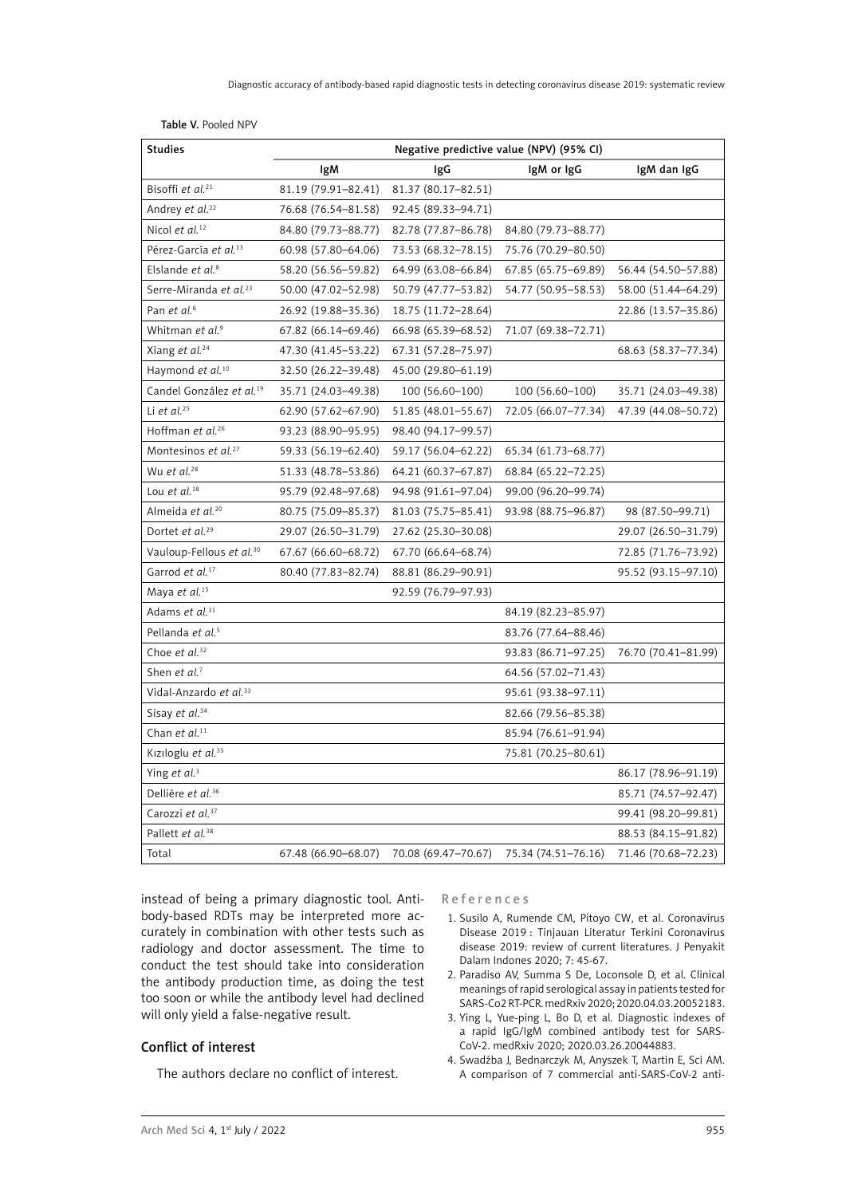| <b>Studies</b>                             | Negative predictive value (NPV) (95% CI) |                     |                       |                     |
|--------------------------------------------|------------------------------------------|---------------------|-----------------------|---------------------|
|                                            | lgM                                      | IgG                 | IgM or IgG            | IgM dan IgG         |
| Bisoffi et al. <sup>21</sup>               | 81.19 (79.91-82.41)                      | 81.37 (80.17-82.51) |                       |                     |
| Andrey et al. <sup>22</sup>                | 76.68 (76.54-81.58)                      | 92.45 (89.33-94.71) |                       |                     |
| Nicol et al. <sup>12</sup>                 | 84.80 (79.73-88.77)                      | 82.78 (77.87-86.78) | 84.80 (79.73-88.77)   |                     |
| Pérez-García et al. <sup>13</sup>          | 60.98 (57.80-64.06)                      | 73.53 (68.32-78.15) | 75.76 (70.29-80.50)   |                     |
| Elslande et al. <sup>8</sup>               | 58.20 (56.56-59.82)                      | 64.99 (63.08-66.84) | 67.85 (65.75 - 69.89) | 56.44 (54.50-57.88) |
| Serre-Miranda et al. <sup>23</sup>         | 50.00 (47.02-52.98)                      | 50.79 (47.77-53.82) | 54.77 (50.95–58.53)   | 58.00 (51.44-64.29) |
| Pan et al. <sup>6</sup>                    | 26.92 (19.88-35.36)                      | 18.75 (11.72-28.64) |                       | 22.86 (13.57-35.86) |
| Whitman et al. <sup>9</sup>                | 67.82 (66.14-69.46)                      | 66.98 (65.39-68.52) | 71.07 (69.38-72.71)   |                     |
| Xiang et al. <sup>24</sup>                 | 47.30 (41.45-53.22)                      | 67.31 (57.28-75.97) |                       | 68.63 (58.37–77.34) |
| Haymond et al. <sup>10</sup>               | 32.50 (26.22-39.48)                      | 45.00 (29.80-61.19) |                       |                     |
| Candel González et al. <sup>19</sup>       | 35.71 (24.03-49.38)                      | 100 (56.60-100)     | 100 (56.60-100)       | 35.71 (24.03-49.38) |
| Li et al. <sup>25</sup>                    | 62.90 (57.62-67.90)                      | 51.85 (48.01-55.67) | 72.05 (66.07-77.34)   | 47.39 (44.08-50.72) |
| Hoffman et al. <sup>26</sup>               | 93.23 (88.90-95.95)                      | 98.40 (94.17-99.57) |                       |                     |
| Montesinos et al. <sup>27</sup>            | 59.33 (56.19-62.40)                      | 59.17 (56.04-62.22) | 65.34 (61.73-68.77)   |                     |
| Wu et al. <sup>28</sup>                    | 51.33 (48.78-53.86)                      | 64.21 (60.37-67.87) | 68.84 (65.22-72.25)   |                     |
| Lou et al. <sup>18</sup>                   | 95.79 (92.48–97.68)                      | 94.98 (91.61-97.04) | 99.00 (96.20-99.74)   |                     |
| Almeida et al. <sup>20</sup>               | 80.75 (75.09-85.37)                      | 81.03 (75.75-85.41) | 93.98 (88.75-96.87)   | 98 (87.50-99.71)    |
| Dortet et al. <sup>29</sup>                | 29.07 (26.50-31.79)                      | 27.62 (25.30-30.08) |                       | 29.07 (26.50-31.79) |
| Vauloup-Fellous et al. <sup>30</sup>       | 67.67 (66.60–68.72)                      | 67.70 (66.64–68.74) |                       | 72.85 (71.76-73.92) |
| Garrod et al. <sup>17</sup>                | 80.40 (77.83-82.74)                      | 88.81 (86.29-90.91) |                       | 95.52 (93.15-97.10) |
| Maya et al. <sup>15</sup>                  |                                          | 92.59 (76.79-97.93) |                       |                     |
| Adams et al. <sup>31</sup>                 |                                          |                     | 84.19 (82.23-85.97)   |                     |
| Pellanda et al. <sup>5</sup>               |                                          |                     | 83.76 (77.64-88.46)   |                     |
| Choe et al. <sup>32</sup>                  |                                          |                     | 93.83 (86.71-97.25)   | 76.70 (70.41-81.99) |
| Shen et al. <sup>7</sup>                   |                                          |                     | 64.56 (57.02-71.43)   |                     |
| Vidal-Anzardo <i>et al</i> . <sup>33</sup> |                                          |                     | 95.61 (93.38–97.11)   |                     |
| Sisay et al. <sup>34</sup>                 |                                          |                     | 82.66 (79.56-85.38)   |                     |
| Chan et al. <sup>11</sup>                  |                                          |                     | 85.94 (76.61-91.94)   |                     |
| Kiziloglu et al. <sup>35</sup>             |                                          |                     | 75.81 (70.25-80.61)   |                     |
| Ying et al. <sup>3</sup>                   |                                          |                     |                       | 86.17 (78.96-91.19) |
| Dellière et al. <sup>36</sup>              |                                          |                     |                       | 85.71 (74.57-92.47) |
| Carozzi et al. <sup>37</sup>               |                                          |                     |                       | 99.41 (98.20-99.81) |
| Pallett et al. <sup>38</sup>               |                                          |                     |                       | 88.53 (84.15-91.82) |
| Total                                      | 67.48 (66.90-68.07)                      | 70.08 (69.47-70.67) | 75.34 (74.51-76.16)   | 71.46 (70.68-72.23) |

Table V. Pooled NPV

instead of being a primary diagnostic tool. Antibody-based RDTs may be interpreted more accurately in combination with other tests such as radiology and doctor assessment. The time to conduct the test should take into consideration the antibody production time, as doing the test too soon or while the antibody level had declined will only yield a false-negative result.

## Conflict of interest

The authors declare no conflict of interest.

References

- 1. Susilo A, Rumende CM, Pitoyo CW, et al. Coronavirus Disease 2019 : Tinjauan Literatur Terkini Coronavirus disease 2019: review of current literatures. J Penyakit Dalam Indones 2020; 7: 45-67.
- 2. Paradiso AV, Summa S De, Loconsole D, et al. Clinical meanings of rapid serological assay in patients tested for SARS-Co2 RT-PCR. medRxiv 2020; 2020.04.03.20052183.
- 3. Ying L, Yue-ping L, Bo D, et al. Diagnostic indexes of a rapid IgG/IgM combined antibody test for SARS-CoV-2. medRxiv 2020; 2020.03.26.20044883.
- 4. Swadźba J, Bednarczyk M, Anyszek T, Martin E, Sci AM. A comparison of 7 commercial anti-SARS-CoV-2 anti-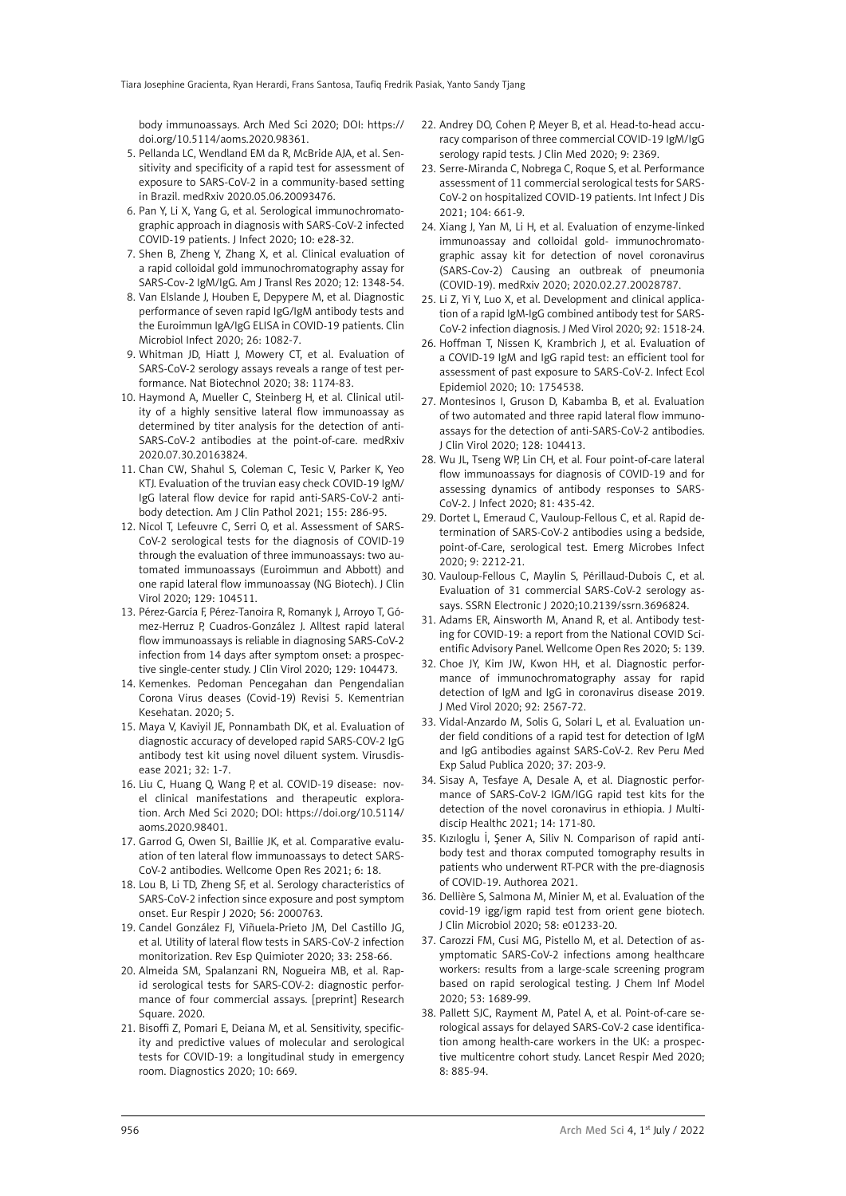body immunoassays. Arch Med Sci 2020; DOI: https:// doi.org/10.5114/aoms.2020.98361.

- 5. Pellanda LC, Wendland EM da R, McBride AJA, et al. Sensitivity and specificity of a rapid test for assessment of exposure to SARS-CoV-2 in a community-based setting in Brazil. medRxiv 2020.05.06.20093476.
- 6. Pan Y, Li X, Yang G, et al. Serological immunochromatographic approach in diagnosis with SARS-CoV-2 infected COVID-19 patients. J Infect 2020; 10: e28-32.
- 7. Shen B, Zheng Y, Zhang X, et al. Clinical evaluation of a rapid colloidal gold immunochromatography assay for SARS-Cov-2 IgM/IgG. Am J Transl Res 2020; 12: 1348-54.
- 8. Van Elslande J, Houben E, Depypere M, et al. Diagnostic performance of seven rapid IgG/IgM antibody tests and the Euroimmun IgA/IgG ELISA in COVID-19 patients. Clin Microbiol Infect 2020; 26: 1082-7.
- 9. Whitman JD, Hiatt J, Mowery CT, et al. Evaluation of SARS-CoV-2 serology assays reveals a range of test performance. Nat Biotechnol 2020; 38: 1174-83.
- 10. Haymond A, Mueller C, Steinberg H, et al. Clinical utility of a highly sensitive lateral flow immunoassay as determined by titer analysis for the detection of anti-SARS-CoV-2 antibodies at the point-of-care. medRxiv 2020.07.30.20163824.
- 11. Chan CW, Shahul S, Coleman C, Tesic V, Parker K, Yeo KTJ. Evaluation of the truvian easy check COVID-19 IgM/ IgG lateral flow device for rapid anti-SARS-CoV-2 antibody detection. Am J Clin Pathol 2021; 155: 286-95.
- 12. Nicol T, Lefeuvre C, Serri O, et al. Assessment of SARS-CoV-2 serological tests for the diagnosis of COVID-19 through the evaluation of three immunoassays: two automated immunoassays (Euroimmun and Abbott) and one rapid lateral flow immunoassay (NG Biotech). J Clin Virol 2020; 129: 104511.
- 13. Pérez-García F, Pérez-Tanoira R, Romanyk J, Arroyo T, Gómez-Herruz P, Cuadros-González J. Alltest rapid lateral flow immunoassays is reliable in diagnosing SARS-CoV-2 infection from 14 days after symptom onset: a prospective single-center study. J Clin Virol 2020; 129: 104473.
- 14. Kemenkes. Pedoman Pencegahan dan Pengendalian Corona Virus deases (Covid-19) Revisi 5. Kementrian Kesehatan. 2020; 5.
- 15. Maya V, Kaviyil JE, Ponnambath DK, et al. Evaluation of diagnostic accuracy of developed rapid SARS-COV-2 IgG antibody test kit using novel diluent system. Virusdisease 2021; 32: 1-7.
- 16. Liu C, Huang Q, Wang P, et al. COVID-19 disease: novel clinical manifestations and therapeutic exploration. Arch Med Sci 2020; DOI: https://doi.org/10.5114/ aoms.2020.98401.
- 17. Garrod G, Owen SI, Baillie JK, et al. Comparative evaluation of ten lateral flow immunoassays to detect SARS-CoV-2 antibodies. Wellcome Open Res 2021; 6: 18.
- 18. Lou B, Li TD, Zheng SF, et al. Serology characteristics of SARS-CoV-2 infection since exposure and post symptom onset. Eur Respir J 2020; 56: 2000763.
- 19. Candel González FJ, Viñuela-Prieto JM, Del Castillo JG, et al. Utility of lateral flow tests in SARS-CoV-2 infection monitorization. Rev Esp Quimioter 2020; 33: 258-66.
- 20. Almeida SM, Spalanzani RN, Nogueira MB, et al. Rapid serological tests for SARS-COV-2: diagnostic performance of four commercial assays. [preprint] Research Square. 2020.
- 21. Bisoffi Z, Pomari E, Deiana M, et al. Sensitivity, specificity and predictive values of molecular and serological tests for COVID-19: a longitudinal study in emergency room. Diagnostics 2020; 10: 669.
- 22. Andrey DO, Cohen P, Meyer B, et al. Head-to-head accuracy comparison of three commercial COVID-19 IgM/IgG serology rapid tests. J Clin Med 2020; 9: 2369.
- 23. Serre-Miranda C, Nobrega C, Roque S, et al. Performance assessment of 11 commercial serological tests for SARS-CoV-2 on hospitalized COVID-19 patients. Int Infect J Dis 2021; 104: 661-9.
- 24. Xiang J, Yan M, Li H, et al. Evaluation of enzyme-linked immunoassay and colloidal gold- immunochromatographic assay kit for detection of novel coronavirus (SARS-Cov-2) Causing an outbreak of pneumonia (COVID-19). medRxiv 2020; 2020.02.27.20028787.
- 25. Li Z, Yi Y, Luo X, et al. Development and clinical application of a rapid IgM-IgG combined antibody test for SARS-CoV-2 infection diagnosis. J Med Virol 2020; 92: 1518-24.
- 26. Hoffman T, Nissen K, Krambrich J, et al. Evaluation of a COVID-19 IgM and IgG rapid test: an efficient tool for assessment of past exposure to SARS-CoV-2. Infect Ecol Epidemiol 2020; 10: 1754538.
- 27. Montesinos I, Gruson D, Kabamba B, et al. Evaluation of two automated and three rapid lateral flow immunoassays for the detection of anti-SARS-CoV-2 antibodies. J Clin Virol 2020; 128: 104413.
- 28. Wu JL, Tseng WP, Lin CH, et al. Four point-of-care lateral flow immunoassays for diagnosis of COVID-19 and for assessing dynamics of antibody responses to SARS-CoV-2. J Infect 2020; 81: 435-42.
- 29. Dortet L, Emeraud C, Vauloup-Fellous C, et al. Rapid determination of SARS-CoV-2 antibodies using a bedside, point-of-Care, serological test. Emerg Microbes Infect 2020; 9: 2212-21.
- 30. Vauloup-Fellous C, Maylin S, Périllaud-Dubois C, et al. Evaluation of 31 commercial SARS-CoV-2 serology assays. SSRN Electronic J 2020;10.2139/ssrn.3696824.
- 31. Adams ER, Ainsworth M, Anand R, et al. Antibody testing for COVID-19: a report from the National COVID Scientific Advisory Panel. Wellcome Open Res 2020; 5: 139.
- 32. Choe JY, Kim JW, Kwon HH, et al. Diagnostic performance of immunochromatography assay for rapid detection of IgM and IgG in coronavirus disease 2019. J Med Virol 2020; 92: 2567-72.
- 33. Vidal-Anzardo M, Solis G, Solari L, et al. Evaluation under field conditions of a rapid test for detection of IgM and IgG antibodies against SARS-CoV-2. Rev Peru Med Exp Salud Publica 2020; 37: 203-9.
- 34. Sisay A, Tesfaye A, Desale A, et al. Diagnostic performance of SARS-CoV-2 IGM/IGG rapid test kits for the detection of the novel coronavirus in ethiopia. J Multidiscip Healthc 2021; 14: 171-80.
- 35. Kızıloglu İ, Şener A, Siliv N. Comparison of rapid antibody test and thorax computed tomography results in patients who underwent RT-PCR with the pre-diagnosis of COVID-19. Authorea 2021.
- 36. Dellière S, Salmona M, Minier M, et al. Evaluation of the covid-19 igg/igm rapid test from orient gene biotech. J Clin Microbiol 2020; 58: e01233-20.
- 37. Carozzi FM, Cusi MG, Pistello M, et al. Detection of asymptomatic SARS-CoV-2 infections among healthcare workers: results from a large-scale screening program based on rapid serological testing. J Chem Inf Model 2020; 53: 1689-99.
- 38. Pallett SJC, Rayment M, Patel A, et al. Point-of-care serological assays for delayed SARS-CoV-2 case identification among health-care workers in the UK: a prospective multicentre cohort study. Lancet Respir Med 2020; 8: 885-94.